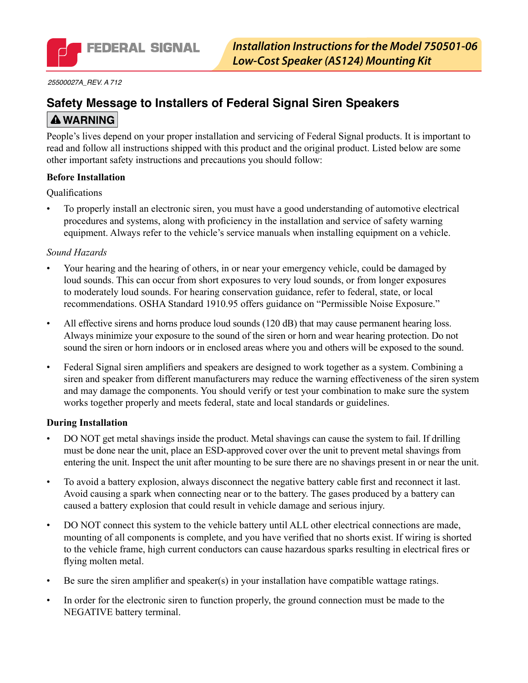

*25500027A\_REV. A 712*

# **Safety Message to Installers of Federal Signal Siren Speakers A WARNING**

People's lives depend on your proper installation and servicing of Federal Signal products. It is important to read and follow all instructions shipped with this product and the original product. Listed below are some other important safety instructions and precautions you should follow:

#### **Before Installation**

**Qualifications** 

To properly install an electronic siren, you must have a good understanding of automotive electrical procedures and systems, along with proficiency in the installation and service of safety warning equipment. Always refer to the vehicle's service manuals when installing equipment on a vehicle.

#### *Sound Hazards*

- Your hearing and the hearing of others, in or near your emergency vehicle, could be damaged by loud sounds. This can occur from short exposures to very loud sounds, or from longer exposures to moderately loud sounds. For hearing conservation guidance, refer to federal, state, or local recommendations. OSHA Standard 1910.95 offers guidance on "Permissible Noise Exposure."
- All effective sirens and horns produce loud sounds (120 dB) that may cause permanent hearing loss. Always minimize your exposure to the sound of the siren or horn and wear hearing protection. Do not sound the siren or horn indoors or in enclosed areas where you and others will be exposed to the sound.
- • Federal Signal siren amplifiers and speakers are designed to work together as a system. Combining a siren and speaker from different manufacturers may reduce the warning effectiveness of the siren system and may damage the components. You should verify or test your combination to make sure the system works together properly and meets federal, state and local standards or guidelines.

#### **During Installation**

- DO NOT get metal shavings inside the product. Metal shavings can cause the system to fail. If drilling must be done near the unit, place an ESD-approved cover over the unit to prevent metal shavings from entering the unit. Inspect the unit after mounting to be sure there are no shavings present in or near the unit.
- To avoid a battery explosion, always disconnect the negative battery cable first and reconnect it last. Avoid causing a spark when connecting near or to the battery. The gases produced by a battery can caused a battery explosion that could result in vehicle damage and serious injury.
- DO NOT connect this system to the vehicle battery until ALL other electrical connections are made, mounting of all components is complete, and you have verified that no shorts exist. If wiring is shorted to the vehicle frame, high current conductors can cause hazardous sparks resulting in electrical fires or flying molten metal.
- Be sure the siren amplifier and speaker(s) in your installation have compatible wattage ratings.
- In order for the electronic siren to function properly, the ground connection must be made to the NEGATIVE battery terminal.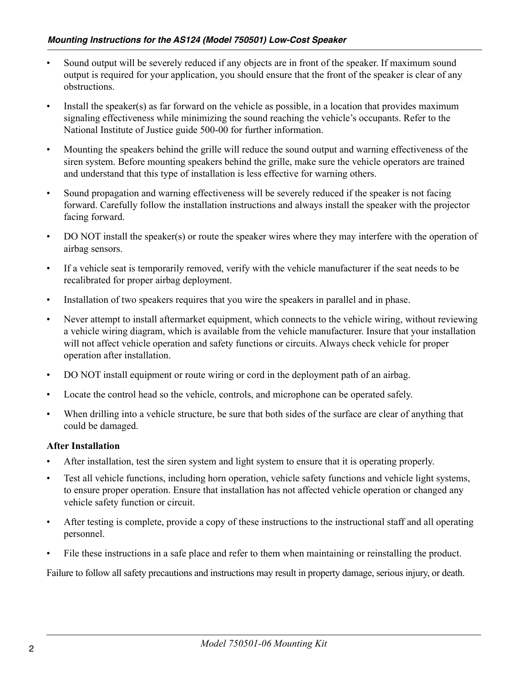- Sound output will be severely reduced if any objects are in front of the speaker. If maximum sound output is required for your application, you should ensure that the front of the speaker is clear of any obstructions.
- Install the speaker(s) as far forward on the vehicle as possible, in a location that provides maximum signaling effectiveness while minimizing the sound reaching the vehicle's occupants. Refer to the National Institute of Justice guide 500-00 for further information.
- • Mounting the speakers behind the grille will reduce the sound output and warning effectiveness of the siren system. Before mounting speakers behind the grille, make sure the vehicle operators are trained and understand that this type of installation is less effective for warning others.
- Sound propagation and warning effectiveness will be severely reduced if the speaker is not facing forward. Carefully follow the installation instructions and always install the speaker with the projector facing forward.
- DO NOT install the speaker(s) or route the speaker wires where they may interfere with the operation of airbag sensors.
- • If a vehicle seat is temporarily removed, verify with the vehicle manufacturer if the seat needs to be recalibrated for proper airbag deployment.
- Installation of two speakers requires that you wire the speakers in parallel and in phase.
- Never attempt to install aftermarket equipment, which connects to the vehicle wiring, without reviewing a vehicle wiring diagram, which is available from the vehicle manufacturer. Insure that your installation will not affect vehicle operation and safety functions or circuits. Always check vehicle for proper operation after installation.
- DO NOT install equipment or route wiring or cord in the deployment path of an airbag.
- Locate the control head so the vehicle, controls, and microphone can be operated safely.
- When drilling into a vehicle structure, be sure that both sides of the surface are clear of anything that could be damaged.

#### **After Installation**

- After installation, test the siren system and light system to ensure that it is operating properly.
- Test all vehicle functions, including horn operation, vehicle safety functions and vehicle light systems, to ensure proper operation. Ensure that installation has not affected vehicle operation or changed any vehicle safety function or circuit.
- After testing is complete, provide a copy of these instructions to the instructional staff and all operating personnel.
- File these instructions in a safe place and refer to them when maintaining or reinstalling the product.

Failure to follow all safety precautions and instructions may result in property damage, serious injury, or death.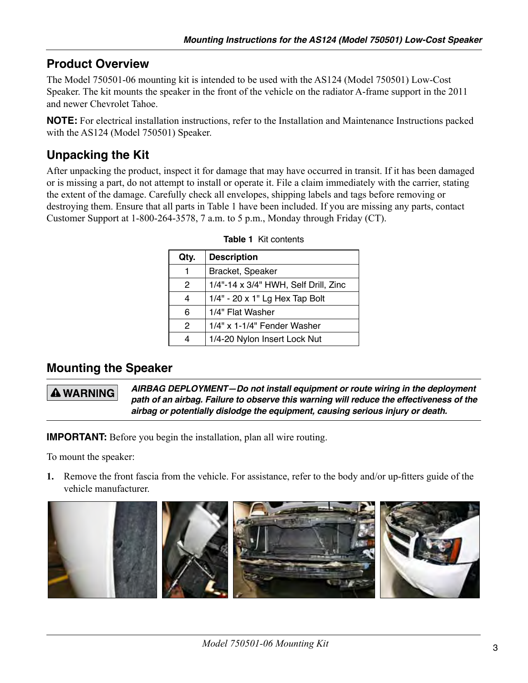# **Product Overview**

The Model 750501-06 mounting kit is intended to be used with the AS124 (Model 750501) Low-Cost Speaker. The kit mounts the speaker in the front of the vehicle on the radiator A-frame support in the 2011 and newer Chevrolet Tahoe.

**NOTE:** For electrical installation instructions, refer to the Installation and Maintenance Instructions packed with the AS124 (Model 750501) Speaker.

# **Unpacking the Kit**

After unpacking the product, inspect it for damage that may have occurred in transit. If it has been damaged or is missing a part, do not attempt to install or operate it. File a claim immediately with the carrier, stating the extent of the damage. Carefully check all envelopes, shipping labels and tags before removing or destroying them. Ensure that all parts in Table 1 have been included. If you are missing any parts, contact Customer Support at 1-800-264-3578, 7 a.m. to 5 p.m., Monday through Friday (CT).

| Qty.          | <b>Description</b>                    |  |
|---------------|---------------------------------------|--|
| 1             | Bracket, Speaker                      |  |
| $\mathcal{P}$ | 1/4"-14 x 3/4" HWH, Self Drill, Zinc  |  |
| 4             | $1/4" - 20 \times 1"$ Lg Hex Tap Bolt |  |
| 6             | 1/4" Flat Washer                      |  |
| 2             | 1/4" x 1-1/4" Fender Washer           |  |
| 4             | 1/4-20 Nylon Insert Lock Nut          |  |

|  |  | <b>Table 1 Kit contents</b> |
|--|--|-----------------------------|
|--|--|-----------------------------|

## **Mounting the Speaker**

## **A WARNING**

*AIRBAG DEPLOYMENT—Do not install equipment or route wiring in the deployment path of an airbag. Failure to observe this warning will reduce the effectiveness of the airbag or potentially dislodge the equipment, causing serious injury or death.*

**IMPORTANT:** Before you begin the installation, plan all wire routing.

To mount the speaker:

**1.** Remove the front fascia from the vehicle. For assistance, refer to the body and/or up-fitters guide of the vehicle manufacturer.

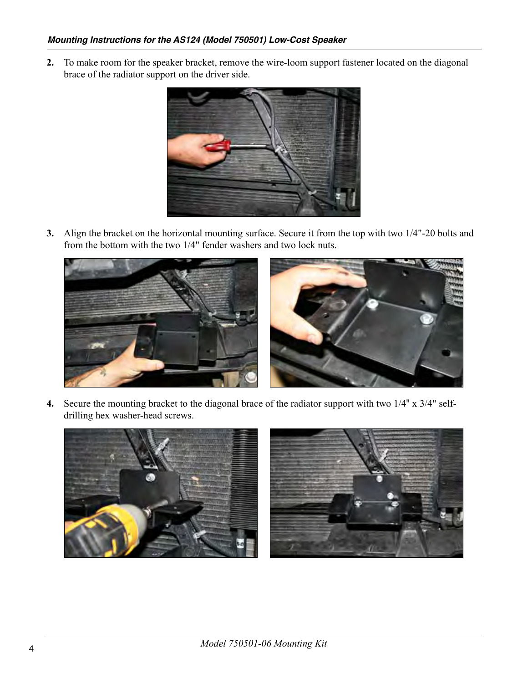**2.** To make room for the speaker bracket, remove the wire-loom support fastener located on the diagonal brace of the radiator support on the driver side.



**3.** Align the bracket on the horizontal mounting surface. Secure it from the top with two 1/4"-20 bolts and from the bottom with the two 1/4" fender washers and two lock nuts.



**4.** Secure the mounting bracket to the diagonal brace of the radiator support with two 1/4" x 3/4" selfdrilling hex washer-head screws.

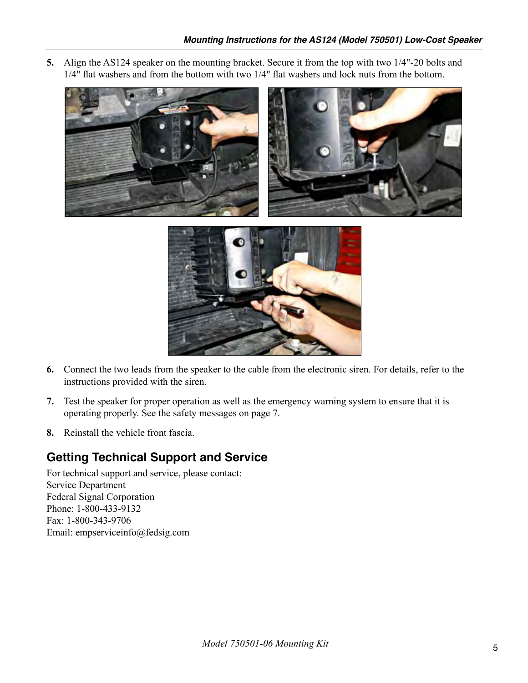**5.** Align the AS124 speaker on the mounting bracket. Secure it from the top with two 1/4"-20 bolts and 1/4" flat washers and from the bottom with two 1/4" flat washers and lock nuts from the bottom.





- **6.** Connect the two leads from the speaker to the cable from the electronic siren. For details, refer to the instructions provided with the siren.
- **7.** Test the speaker for proper operation as well as the emergency warning system to ensure that it is operating properly. See the safety messages on page 7.
- **8.** Reinstall the vehicle front fascia.

# **Getting Technical Support and Service**

For technical support and service, please contact: Service Department Federal Signal Corporation Phone: 1-800-433-9132 Fax: 1-800-343-9706 Email: empserviceinfo@fedsig.com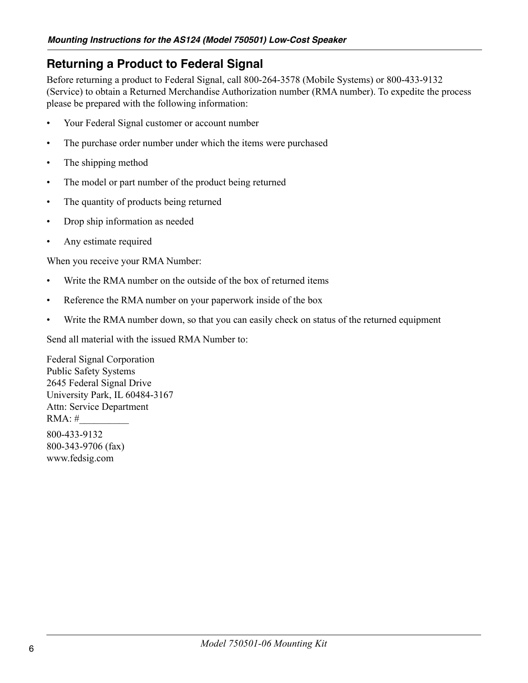# **Returning a Product to Federal Signal**

Before returning a product to Federal Signal, call 800-264-3578 (Mobile Systems) or 800-433-9132 (Service) to obtain a Returned Merchandise Authorization number (RMA number). To expedite the process please be prepared with the following information:

- Your Federal Signal customer or account number
- The purchase order number under which the items were purchased
- The shipping method
- The model or part number of the product being returned
- The quantity of products being returned
- Drop ship information as needed
- Any estimate required

When you receive your RMA Number:

- Write the RMA number on the outside of the box of returned items
- Reference the RMA number on your paperwork inside of the box
- Write the RMA number down, so that you can easily check on status of the returned equipment

Send all material with the issued RMA Number to:

Federal Signal Corporation Public Safety Systems 2645 Federal Signal Drive University Park, IL 60484-3167 Attn: Service Department RMA: #\_\_\_\_\_\_\_\_\_\_ 800-433-9132 800-343-9706 (fax) www.fedsig.com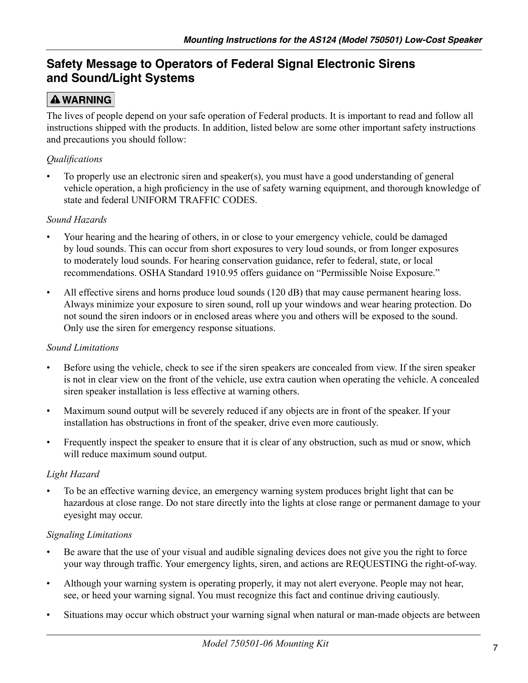# **Safety Message to Operators of Federal Signal Electronic Sirens and Sound/Light Systems**

# **A WARNING**

The lives of people depend on your safe operation of Federal products. It is important to read and follow all instructions shipped with the products. In addition, listed below are some other important safety instructions and precautions you should follow:

## *Qualifications*

To properly use an electronic siren and speaker(s), you must have a good understanding of general vehicle operation, a high proficiency in the use of safety warning equipment, and thorough knowledge of state and federal UNIFORM TRAFFIC CODES.

### *Sound Hazards*

- Your hearing and the hearing of others, in or close to your emergency vehicle, could be damaged by loud sounds. This can occur from short exposures to very loud sounds, or from longer exposures to moderately loud sounds. For hearing conservation guidance, refer to federal, state, or local recommendations. OSHA Standard 1910.95 offers guidance on "Permissible Noise Exposure."
- All effective sirens and horns produce loud sounds (120 dB) that may cause permanent hearing loss. Always minimize your exposure to siren sound, roll up your windows and wear hearing protection. Do not sound the siren indoors or in enclosed areas where you and others will be exposed to the sound. Only use the siren for emergency response situations.

### *Sound Limitations*

- • Before using the vehicle, check to see if the siren speakers are concealed from view. If the siren speaker is not in clear view on the front of the vehicle, use extra caution when operating the vehicle. A concealed siren speaker installation is less effective at warning others.
- Maximum sound output will be severely reduced if any objects are in front of the speaker. If your installation has obstructions in front of the speaker, drive even more cautiously.
- Frequently inspect the speaker to ensure that it is clear of any obstruction, such as mud or snow, which will reduce maximum sound output.

### *Light Hazard*

To be an effective warning device, an emergency warning system produces bright light that can be hazardous at close range. Do not stare directly into the lights at close range or permanent damage to your eyesight may occur.

### *Signaling Limitations*

- Be aware that the use of your visual and audible signaling devices does not give you the right to force your way through traffic. Your emergency lights, siren, and actions are REQUESTING the right-of-way.
- Although your warning system is operating properly, it may not alert everyone. People may not hear, see, or heed your warning signal. You must recognize this fact and continue driving cautiously.
- Situations may occur which obstruct your warning signal when natural or man-made objects are between